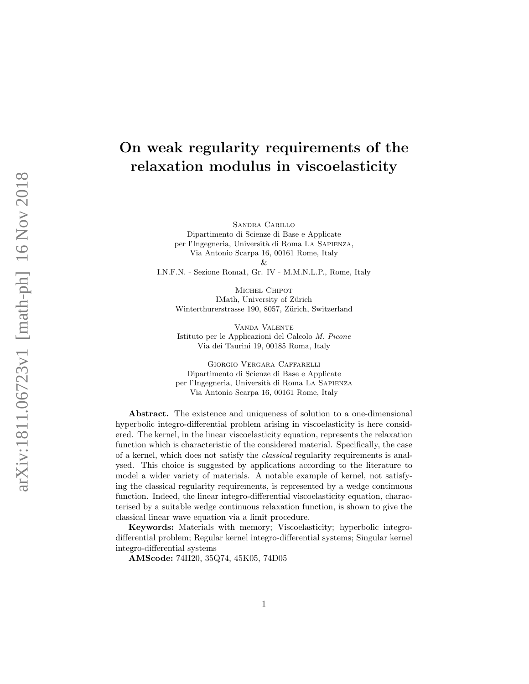# On weak regularity requirements of the relaxation modulus in viscoelasticity

Sandra Carillo Dipartimento di Scienze di Base e Applicate per l'Ingegneria, Università di Roma La Sapienza, Via Antonio Scarpa 16, 00161 Rome, Italy &

I.N.F.N. - Sezione Roma1, Gr. IV - M.M.N.L.P., Rome, Italy

MICHEL CHIPOT IMath, University of Zürich Winterthurerstrasse 190, 8057, Zürich, Switzerland

Vanda Valente Istituto per le Applicazioni del Calcolo M. Picone Via dei Taurini 19, 00185 Roma, Italy

Giorgio Vergara Caffarelli Dipartimento di Scienze di Base e Applicate per l'Ingegneria, Universit`a di Roma La Sapienza Via Antonio Scarpa 16, 00161 Rome, Italy

Abstract. The existence and uniqueness of solution to a one-dimensional hyperbolic integro-differential problem arising in viscoelasticity is here considered. The kernel, in the linear viscoelasticity equation, represents the relaxation function which is characteristic of the considered material. Specifically, the case of a kernel, which does not satisfy the classical regularity requirements is analysed. This choice is suggested by applications according to the literature to model a wider variety of materials. A notable example of kernel, not satisfying the classical regularity requirements, is represented by a wedge continuous function. Indeed, the linear integro-differential viscoelasticity equation, characterised by a suitable wedge continuous relaxation function, is shown to give the classical linear wave equation via a limit procedure.

Keywords: Materials with memory; Viscoelasticity; hyperbolic integrodifferential problem; Regular kernel integro-differential systems; Singular kernel integro-differential systems

AMScode: 74H20, 35Q74, 45K05, 74D05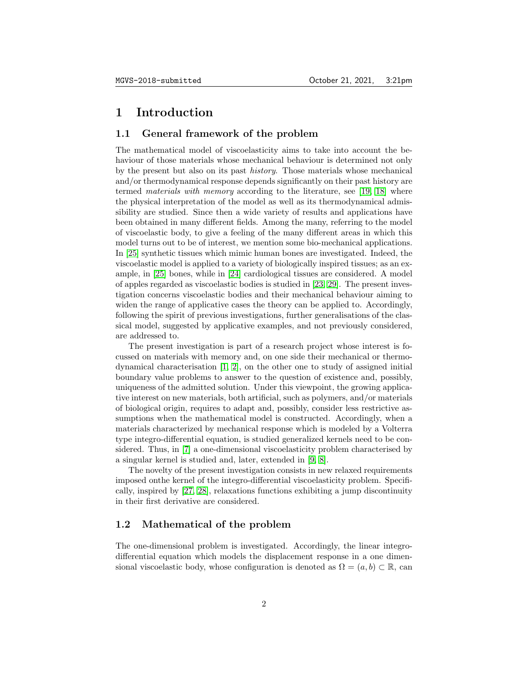### 1 Introduction

#### 1.1 General framework of the problem

The mathematical model of viscoelasticity aims to take into account the behaviour of those materials whose mechanical behaviour is determined not only by the present but also on its past history. Those materials whose mechanical and/or thermodynamical response depends significantly on their past history are termed materials with memory according to the literature, see [\[19,](#page-11-0) [18\]](#page-11-1) where the physical interpretation of the model as well as its thermodynamical admissibility are studied. Since then a wide variety of results and applications have been obtained in many different fields. Among the many, referring to the model of viscoelastic body, to give a feeling of the many different areas in which this model turns out to be of interest, we mention some bio-mechanical applications. In [\[25\]](#page-12-0) synthetic tissues which mimic human bones are investigated. Indeed, the viscoelastic model is applied to a variety of biologically inspired tissues; as an example, in [\[25\]](#page-12-0) bones, while in [\[24\]](#page-12-1) cardiological tissues are considered. A model of apples regarded as viscoelastic bodies is studied in [\[23,](#page-11-2) [29\]](#page-12-2). The present investigation concerns viscoelastic bodies and their mechanical behaviour aiming to widen the range of applicative cases the theory can be applied to. Accordingly, following the spirit of previous investigations, further generalisations of the classical model, suggested by applicative examples, and not previously considered, are addressed to.

The present investigation is part of a research project whose interest is focussed on materials with memory and, on one side their mechanical or thermodynamical characterisation [\[1,](#page-10-0) [2\]](#page-10-1), on the other one to study of assigned initial boundary value problems to answer to the question of existence and, possibly, uniqueness of the admitted solution. Under this viewpoint, the growing applicative interest on new materials, both artificial, such as polymers, and/or materials of biological origin, requires to adapt and, possibly, consider less restrictive assumptions when the mathematical model is constructed. Accordingly, when a materials characterized by mechanical response which is modeled by a Volterra type integro-differential equation, is studied generalized kernels need to be considered. Thus, in [\[7\]](#page-10-2) a one-dimensional viscoelasticity problem characterised by a singular kernel is studied and, later, extended in [\[9,](#page-10-3) [8\]](#page-10-4).

The novelty of the present investigation consists in new relaxed requirements imposed onthe kernel of the integro-differential viscoelasticity problem. Specifically, inspired by [\[27,](#page-12-3) [28\]](#page-12-4), relaxations functions exhibiting a jump discontinuity in their first derivative are considered.

#### 1.2 Mathematical of the problem

The one-dimensional problem is investigated. Accordingly, the linear integrodifferential equation which models the displacement response in a one dimensional viscoelastic body, whose configuration is denoted as  $\Omega = (a, b) \subset \mathbb{R}$ , can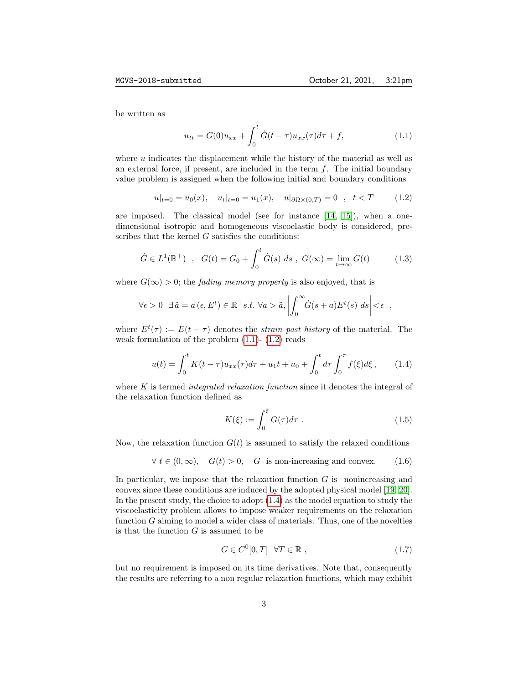be written as

<span id="page-2-1"></span><span id="page-2-0"></span>
$$
u_{tt} = G(0)u_{xx} + \int_0^t \dot{G}(t-\tau)u_{xx}(\tau)d\tau + f,
$$
\n(1.1)

where u indicates the displacement while the history of the material as well as an external force, if present, are included in the term  $f$ . The initial boundary value problem is assigned when the following initial and boundary conditions

$$
u|_{t=0} = u_0(x)
$$
,  $u_t|_{t=0} = u_1(x)$ ,  $u|_{\partial\Omega \times (0,T)} = 0$ ,  $t < T$  (1.2)

are imposed. The classical model (see for instance  $(14, 15)$ ), when a onedimensional isotropic and homogeneous viscoelastic body is considered, prescribes that the kernel  $G$  satisfies the conditions:

$$
\dot{G} \in L^{1}(\mathbb{R}^{+}) \quad , \quad G(t) = G_{0} + \int_{0}^{t} \dot{G}(s) \, ds \quad , \quad G(\infty) = \lim_{t \to \infty} G(t) \tag{1.3}
$$

where  $G(\infty) > 0$ ; the *fading memory property* is also enjoyed, that is

$$
\forall \epsilon > 0 \ \exists \tilde{a} = a(\epsilon, E^t) \in \mathbb{R}^+ s.t. \ \forall a > \tilde{a}, \left| \int_0^\infty \dot{G}(s+a) E^t(s) \ ds \right| < \epsilon \ ,
$$

where  $E^t(\tau) := E(t - \tau)$  denotes the *strain past history* of the material. The weak formulation of the problem  $(1.1)$ -  $(1.2)$  reads

$$
u(t) = \int_0^t K(t - \tau)u_{xx}(\tau)d\tau + u_1t + u_0 + \int_0^t d\tau \int_0^{\tau} f(\xi)d\xi, \qquad (1.4)
$$

where  $K$  is termed *integrated relaxation function* since it denotes the integral of the relaxation function defined as

<span id="page-2-3"></span><span id="page-2-2"></span>
$$
K(\xi) := \int_0^{\xi} G(\tau) d\tau . \qquad (1.5)
$$

Now, the relaxation function  $G(t)$  is assumed to satisfy the relaxed conditions

$$
\forall t \in (0, \infty), \quad G(t) > 0, \quad G \text{ is non-increasing and convex.} \tag{1.6}
$$

In particular, we impose that the relaxation function  $G$  is nonincreasing and convex since these conditions are induced by the adopted physical model [\[19,](#page-11-0) [20\]](#page-11-5). In the present study, the choice to adopt [\(1.4\)](#page-2-2) as the model equation to study the viscoelasticity problem allows to impose weaker requirements on the relaxation function  $G$  aiming to model a wider class of materials. Thus, one of the novelties is that the function  $G$  is assumed to be

$$
G \in C^{0}[0, T] \quad \forall T \in \mathbb{R} \tag{1.7}
$$

but no requirement is imposed on its time derivatives. Note that, consequently the results are referring to a non regular relaxation functions, which may exhibit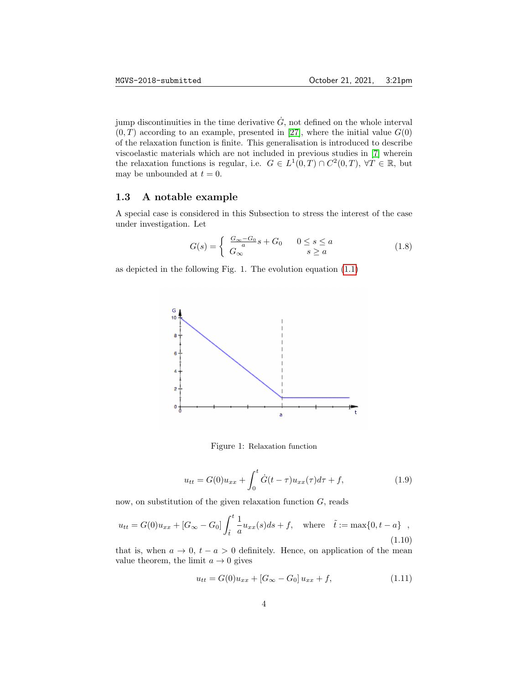jump discontinuities in the time derivative  $\dot{G}$ , not defined on the whole interval  $(0, T)$  according to an example, presented in [\[27\]](#page-12-3), where the initial value  $G(0)$ of the relaxation function is finite. This generalisation is introduced to describe viscoelastic materials which are not included in previous studies in [\[7\]](#page-10-2) wherein the relaxation functions is regular, i.e.  $G \in L^1(0,T) \cap C^2(0,T)$ ,  $\forall T \in \mathbb{R}$ , but may be unbounded at  $t = 0$ .

#### 1.3 A notable example

A special case is considered in this Subsection to stress the interest of the case under investigation. Let

$$
G(s) = \begin{cases} \frac{G_{\infty} - G_0}{a} s + G_0 & 0 \le s \le a \\ G_{\infty} & s \ge a \end{cases}
$$
 (1.8)

as depicted in the following Fig. 1. The evolution equation [\(1.1\)](#page-2-0)



Figure 1: Relaxation function

$$
u_{tt} = G(0)u_{xx} + \int_0^t \dot{G}(t-\tau)u_{xx}(\tau)d\tau + f,
$$
\n(1.9)

now, on substitution of the given relaxation function  $G$ , reads

$$
u_{tt} = G(0)u_{xx} + [G_{\infty} - G_0] \int_{\tilde{t}}^{t} \frac{1}{a} u_{xx}(s)ds + f, \text{ where } \tilde{t} := \max\{0, t - a\} ,
$$
\n(1.10)

that is, when  $a \to 0$ ,  $t - a > 0$  definitely. Hence, on application of the mean value theorem, the limit  $a \to 0$  gives

$$
u_{tt} = G(0)u_{xx} + [G_{\infty} - G_0]u_{xx} + f,
$$
\n(1.11)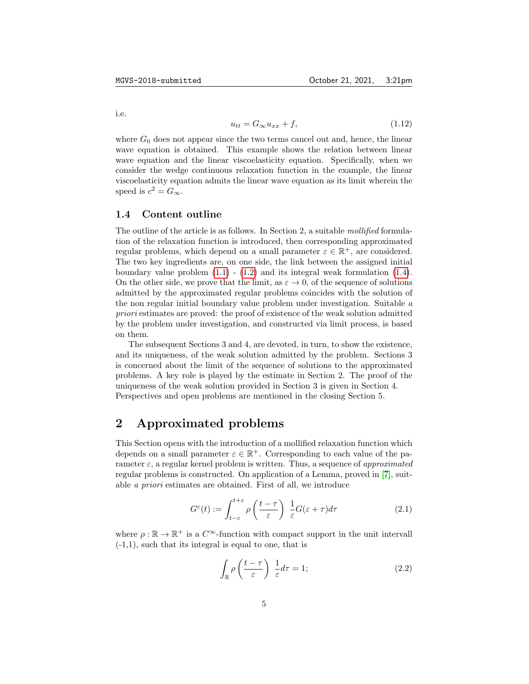i.e.

$$
u_{tt} = G_{\infty} u_{xx} + f,\tag{1.12}
$$

where  $G_0$  does not appear since the two terms cancel out and, hence, the linear wave equation is obtained. This example shows the relation between linear wave equation and the linear viscoelasticity equation. Specifically, when we consider the wedge continuous relaxation function in the example, the linear viscoelasticity equation admits the linear wave equation as its limit wherein the speed is  $c^2 = G_{\infty}$ .

#### 1.4 Content outline

The outline of the article is as follows. In Section 2, a suitable mollified formulation of the relaxation function is introduced, then corresponding approximated regular problems, which depend on a small parameter  $\varepsilon \in \mathbb{R}^+$ , are considered. The two key ingredients are, on one side, the link between the assigned initial boundary value problem  $(1.1)$  -  $(1.2)$  and its integral weak formulation  $(1.4)$ . On the other side, we prove that the limit, as  $\varepsilon \to 0$ , of the sequence of solutions admitted by the approximated regular problems coincides with the solution of the non regular initial boundary value problem under investigation. Suitable a priori estimates are proved: the proof of existence of the weak solution admitted by the problem under investigation, and constructed via limit process, is based on them.

The subsequent Sections 3 and 4, are devoted, in turn, to show the existence, and its uniqueness, of the weak solution admitted by the problem. Sections 3 is concerned about the limit of the sequence of solutions to the approximated problems. A key role is played by the estimate in Section 2. The proof of the uniqueness of the weak solution provided in Section 3 is given in Section 4. Perspectives and open problems are mentioned in the closing Section 5.

# 2 Approximated problems

This Section opens with the introduction of a mollified relaxation function which depends on a small parameter  $\varepsilon \in \mathbb{R}^+$ . Corresponding to each value of the parameter  $\varepsilon$ , a regular kernel problem is written. Thus, a sequence of approximated regular problems is constructed. On application of a Lemma, proved in [\[7\]](#page-10-2), suitable a priori estimates are obtained. First of all, we introduce

$$
G^{\varepsilon}(t) := \int_{t-\varepsilon}^{t+\varepsilon} \rho\left(\frac{t-\tau}{\varepsilon}\right) \frac{1}{\varepsilon} G(\varepsilon+\tau) d\tau \tag{2.1}
$$

where  $\rho : \mathbb{R} \to \mathbb{R}^+$  is a  $C^{\infty}$ -function with compact support in the unit intervall  $(-1,1)$ , such that its integral is equal to one, that is

<span id="page-4-1"></span><span id="page-4-0"></span>
$$
\int_{\mathbb{R}} \rho \left( \frac{t - \tau}{\varepsilon} \right) \frac{1}{\varepsilon} d\tau = 1; \tag{2.2}
$$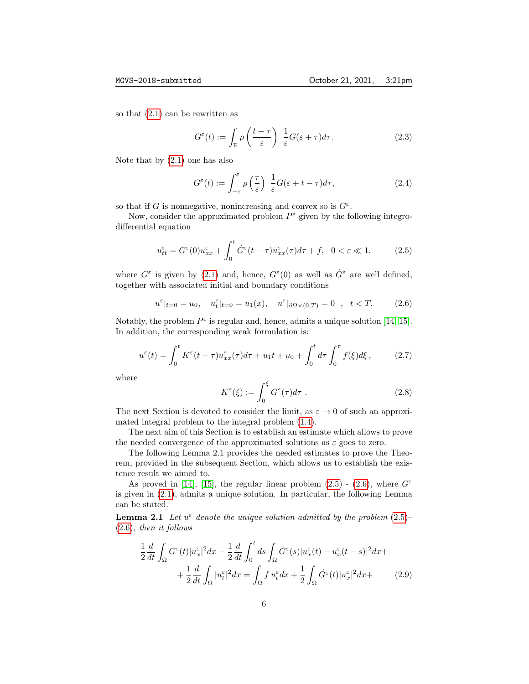so that [\(2.1\)](#page-4-0) can be rewritten as

$$
G^{\varepsilon}(t) := \int_{\mathbb{R}} \rho\left(\frac{t-\tau}{\varepsilon}\right) \frac{1}{\varepsilon} G(\varepsilon + \tau) d\tau.
$$
 (2.3)

Note that by [\(2.1\)](#page-4-0) one has also

$$
G^{\varepsilon}(t) := \int_{-\varepsilon}^{\varepsilon} \rho\left(\frac{\tau}{\varepsilon}\right) \frac{1}{\varepsilon} G(\varepsilon + t - \tau) d\tau, \tag{2.4}
$$

so that if G is nonnegative, nonincreasing and convex so is  $G^{\varepsilon}$ .

Now, consider the approximated problem  $P^{\varepsilon}$  given by the following integrodifferential equation

<span id="page-5-0"></span>
$$
u_{tt}^{\varepsilon} = G^{\varepsilon}(0)u_{xx}^{\varepsilon} + \int_0^t \dot{G}^{\varepsilon}(t-\tau)u_{xx}^{\varepsilon}(\tau)d\tau + f, \quad 0 < \varepsilon \ll 1,
$$
 (2.5)

where  $G^{\varepsilon}$  is given by [\(2.1\)](#page-4-0) and, hence,  $G^{\varepsilon}(0)$  as well as  $\dot{G}^{\varepsilon}$  are well defined, together with associated initial and boundary conditions

$$
u^{\varepsilon}|_{t=0} = u_0, \quad u_t^{\varepsilon}|_{t=0} = u_1(x), \quad u^{\varepsilon}|_{\partial\Omega \times (0,T)} = 0 \quad , \quad t < T.
$$
 (2.6)

Notably, the problem  $P^{\varepsilon}$  is regular and, hence, admits a unique solution [\[14,](#page-11-3) [15\]](#page-11-4). In addition, the corresponding weak formulation is:

$$
u^{\varepsilon}(t) = \int_0^t K^{\varepsilon}(t-\tau)u^{\varepsilon}_{xx}(\tau)d\tau + u_1t + u_0 + \int_0^t d\tau \int_0^{\tau} f(\xi)d\xi, \qquad (2.7)
$$

where

<span id="page-5-2"></span><span id="page-5-1"></span>
$$
K^{\varepsilon}(\xi) := \int_0^{\xi} G^{\varepsilon}(\tau) d\tau . \tag{2.8}
$$

The next Section is devoted to consider the limit, as  $\varepsilon \to 0$  of such an approximated integral problem to the integral problem [\(1.4\)](#page-2-2).

The next aim of this Section is to establish an estimate which allows to prove the needed convergence of the approximated solutions as  $\varepsilon$  goes to zero.

The following Lemma 2.1 provides the needed estimates to prove the Theorem, provided in the subsequent Section, which allows us to establish the existence result we aimed to.

As proved in [\[14\]](#page-11-3), [\[15\]](#page-11-4), the regular linear problem [\(2.5\)](#page-5-0) - [\(2.6\)](#page-5-1), where  $G^{\varepsilon}$ is given in [\(2.1\)](#page-4-0), admits a unique solution. In particular, the following Lemma can be stated.

**Lemma 2.1** Let  $u^{\varepsilon}$  denote the unique solution admitted by the problem  $(2.5)$ [\(2.6\)](#page-5-1), then it follows

$$
\frac{1}{2}\frac{d}{dt}\int_{\Omega}G^{\varepsilon}(t)|u_{x}^{\varepsilon}|^{2}dx - \frac{1}{2}\frac{d}{dt}\int_{0}^{t}ds\int_{\Omega}\dot{G}^{\varepsilon}(s)|u_{x}^{\varepsilon}(t) - u_{x}^{\varepsilon}(t-s)|^{2}dx + \n+ \frac{1}{2}\frac{d}{dt}\int_{\Omega}|u_{t}^{\varepsilon}|^{2}dx = \int_{\Omega}f u_{t}^{\varepsilon}dx + \frac{1}{2}\int_{\Omega}\dot{G}^{\varepsilon}(t)|u_{x}^{\varepsilon}|^{2}dx +
$$
\n(2.9)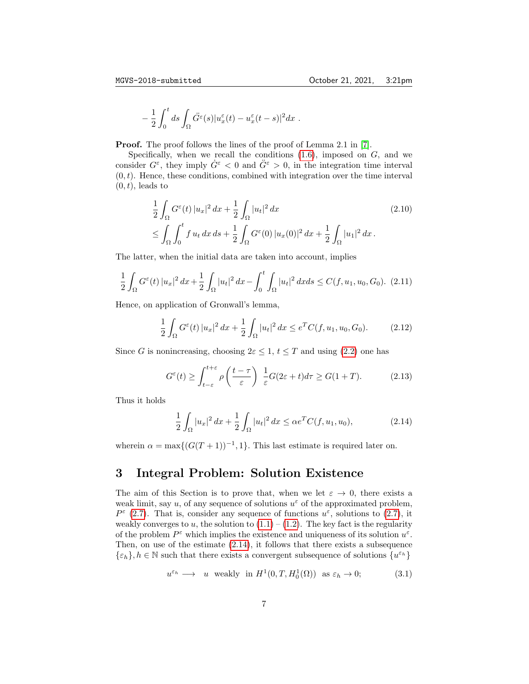$$
-\frac{1}{2}\int_0^t ds \int_{\Omega} \ddot{G}^{\varepsilon}(s) |u^{\varepsilon}_x(t) - u^{\varepsilon}_x(t-s)|^2 dx.
$$

**Proof.** The proof follows the lines of the proof of Lemma 2.1 in [\[7\]](#page-10-2).

Specifically, when we recall the conditions  $(1.6)$ , imposed on  $G$ , and we consider  $G^{\varepsilon}$ , they imply  $G^{\varepsilon} < 0$  and  $G^{\varepsilon} > 0$ , in the integration time interval  $(0, t)$ . Hence, these conditions, combined with integration over the time interval  $(0, t)$ , leads to

$$
\frac{1}{2} \int_{\Omega} G^{\varepsilon}(t) |u_{x}|^{2} dx + \frac{1}{2} \int_{\Omega} |u_{t}|^{2} dx
$$
\n
$$
\leq \int_{\Omega} \int_{0}^{t} f u_{t} dx ds + \frac{1}{2} \int_{\Omega} G^{\varepsilon}(0) |u_{x}(0)|^{2} dx + \frac{1}{2} \int_{\Omega} |u_{1}|^{2} dx.
$$
\n(2.10)

The latter, when the initial data are taken into account, implies

$$
\frac{1}{2} \int_{\Omega} G^{\varepsilon}(t) |u_{x}|^{2} dx + \frac{1}{2} \int_{\Omega} |u_{t}|^{2} dx - \int_{0}^{t} \int_{\Omega} |u_{t}|^{2} dx ds \le C(f, u_{1}, u_{0}, G_{0}). \tag{2.11}
$$

Hence, on application of Gronwall's lemma,

$$
\frac{1}{2} \int_{\Omega} G^{\varepsilon}(t) |u_{x}|^{2} dx + \frac{1}{2} \int_{\Omega} |u_{t}|^{2} dx \leq e^{T} C(f, u_{1}, u_{0}, G_{0}). \tag{2.12}
$$

Since G is nonincreasing, choosing  $2\varepsilon \leq 1$ ,  $t \leq T$  and using [\(2.2\)](#page-4-1) one has

$$
G^{\varepsilon}(t) \ge \int_{t-\varepsilon}^{t+\varepsilon} \rho\left(\frac{t-\tau}{\varepsilon}\right) \frac{1}{\varepsilon} G(2\varepsilon+t) d\tau \ge G(1+T). \tag{2.13}
$$

Thus it holds

<span id="page-6-0"></span>
$$
\frac{1}{2} \int_{\Omega} |u_x|^2 \, dx + \frac{1}{2} \int_{\Omega} |u_t|^2 \, dx \leq \alpha e^T C(f, u_1, u_0), \tag{2.14}
$$

wherein  $\alpha = \max\{(G(T+1))^{-1}, 1\}$ . This last estimate is required later on.

### 3 Integral Problem: Solution Existence

The aim of this Section is to prove that, when we let  $\varepsilon \to 0$ , there exists a weak limit, say u, of any sequence of solutions  $u^{\varepsilon}$  of the approximated problem,  $P^{\varepsilon}$  [\(2.7\)](#page-5-2). That is, consider any sequence of functions  $u^{\varepsilon}$ , solutions to (2.7), it weakly converges to u, the solution to  $(1.1) - (1.2)$  $(1.1) - (1.2)$  $(1.1) - (1.2)$ . The key fact is the regularity of the problem  $P^{\varepsilon}$  which implies the existence and uniqueness of its solution  $u^{\varepsilon}$ . Then, on use of the estimate  $(2.14)$ , it follows that there exists a subsequence  $\{\varepsilon_h\}, h \in \mathbb{N}$  such that there exists a convergent subsequence of solutions  $\{u^{\varepsilon_h}\}$ 

$$
u^{\varepsilon_h} \longrightarrow u \text{ weakly in } H^1(0, T, H_0^1(\Omega)) \text{ as } \varepsilon_h \to 0;
$$
 (3.1)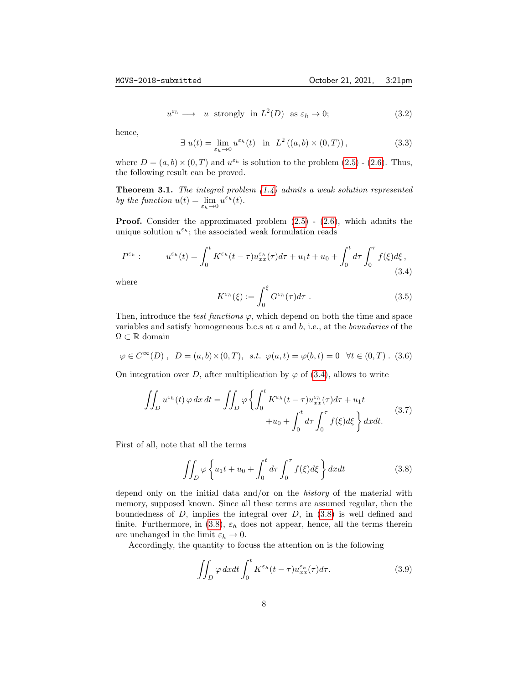$$
u^{\varepsilon_h} \longrightarrow u
$$
 strongly in  $L^2(D)$  as  $\varepsilon_h \to 0$ ; (3.2)

hence,

$$
\exists u(t) = \lim_{\varepsilon_h \to 0} u^{\varepsilon_h}(t) \quad \text{in} \quad L^2\left( (a, b) \times (0, T) \right),\tag{3.3}
$$

where  $D = (a, b) \times (0, T)$  and  $u^{\varepsilon_h}$  is solution to the problem  $(2.5)$  -  $(2.6)$ . Thus, the following result can be proved.

**Theorem 3.1.** The integral problem  $(1.4)$  admits a weak solution represented by the function  $u(t) = \lim_{\varepsilon_h \to 0} u^{\varepsilon_h}(t)$ .

**Proof.** Consider the approximated problem  $(2.5)$  -  $(2.6)$ , which admits the unique solution  $u^{\varepsilon_h}$ ; the associated weak formulation reads

$$
P^{\varepsilon_h}: \t u^{\varepsilon_h}(t) = \int_0^t K^{\varepsilon_h}(t-\tau) u^{\varepsilon_h}_{xx}(\tau) d\tau + u_1 t + u_0 + \int_0^t d\tau \int_0^\tau f(\xi) d\xi , \t (3.4)
$$

where

<span id="page-7-0"></span>
$$
K^{\varepsilon_h}(\xi) := \int_0^{\xi} G^{\varepsilon_h}(\tau) d\tau . \tag{3.5}
$$

Then, introduce the test functions  $\varphi$ , which depend on both the time and space variables and satisfy homogeneous b.c.s at  $a$  and  $b$ , i.e., at the *boundaries* of the  $\Omega \subset \mathbb{R}$ domain

<span id="page-7-2"></span>
$$
\varphi \in C^{\infty}(D)
$$
,  $D = (a, b) \times (0, T)$ , s.t.  $\varphi(a, t) = \varphi(b, t) = 0 \quad \forall t \in (0, T)$ . (3.6)

On integration over D, after multiplication by  $\varphi$  of [\(3.4\)](#page-7-0), allows to write

$$
\iint_D u^{\varepsilon_h}(t)\,\varphi\,dx\,dt = \iint_D \varphi \left\{ \int_0^t K^{\varepsilon_h}(t-\tau)u_{xx}^{\varepsilon_h}(\tau)d\tau + u_1t \right. \\ \left. + u_0 + \int_0^t d\tau \int_0^\tau f(\xi)d\xi \right\} dxdt. \tag{3.7}
$$

First of all, note that all the terms

<span id="page-7-1"></span>
$$
\iint_D \varphi \left\{ u_1 t + u_0 + \int_0^t d\tau \int_0^\tau f(\xi) d\xi \right\} dx dt \tag{3.8}
$$

depend only on the initial data and/or on the history of the material with memory, supposed known. Since all these terms are assumed regular, then the boundedness of  $D$ , implies the integral over  $D$ , in  $(3.8)$  is well defined and finite. Furthermore, in [\(3.8\)](#page-7-1),  $\varepsilon_h$  does not appear, hence, all the terms therein are unchanged in the limit  $\varepsilon_h \to 0$ .

Accordingly, the quantity to focuss the attention on is the following

$$
\iint_D \varphi \, dxdt \int_0^t K^{\varepsilon_h}(t-\tau) u_{xx}^{\varepsilon_h}(\tau) d\tau.
$$
 (3.9)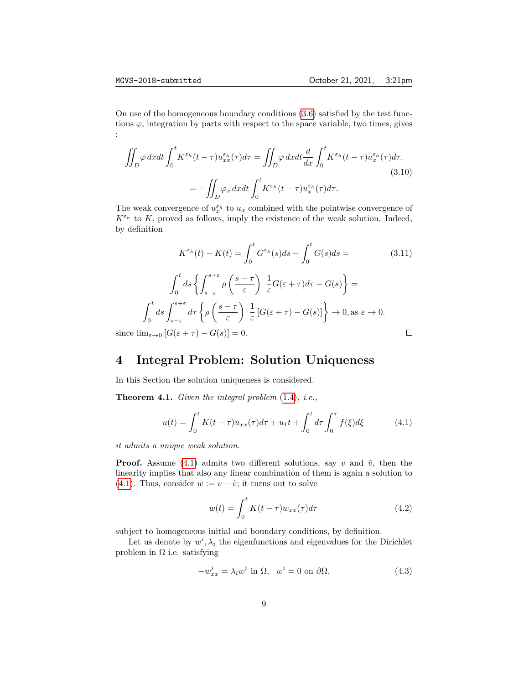On use of the homogeneous boundary conditions [\(3.6\)](#page-7-2) satisfied by the test functions  $\varphi$ , integration by parts with respect to the space variable, two times, gives :

$$
\iint_{D} \varphi \, dxdt \int_{0}^{t} K^{\varepsilon_{h}}(t-\tau) u_{xx}^{\varepsilon_{h}}(\tau) d\tau = \iint_{D} \varphi \, dxdt \frac{d}{dx} \int_{0}^{t} K^{\varepsilon_{h}}(t-\tau) u_{x}^{\varepsilon_{h}}(\tau) d\tau.
$$
\n
$$
= -\iint_{D} \varphi_{x} \, dxdt \int_{0}^{t} K^{\varepsilon_{h}}(t-\tau) u_{x}^{\varepsilon_{h}}(\tau) d\tau.
$$
\n(3.10)

The weak convergence of  $u_x^{\varepsilon_h}$  to  $u_x$  combined with the pointwise convergence of  $K^{\varepsilon_h}$  to K, proved as follows, imply the existence of the weak solution. Indeed, by definition

$$
K^{\varepsilon_h}(t) - K(t) = \int_0^t G^{\varepsilon_h}(s)ds - \int_0^t G(s)ds = \tag{3.11}
$$

$$
\int_0^t ds \left\{ \int_{s-\varepsilon}^{s+\varepsilon} \rho \left( \frac{s-\tau}{\varepsilon} \right) \frac{1}{\varepsilon} G(\varepsilon + \tau) d\tau - G(s) \right\} =
$$

$$
\int_0^t ds \int_{s-\varepsilon}^{s+\varepsilon} d\tau \left\{ \rho \left( \frac{s-\tau}{\varepsilon} \right) \frac{1}{\varepsilon} \left[ G(\varepsilon + \tau) - G(s) \right] \right\} \to 0, \text{ as } \varepsilon \to 0.
$$

$$
\mathbf{m}_{\varepsilon \to 0} \left[ G(\varepsilon + \tau) - G(s) \right] = 0. \qquad \Box
$$

since  $\lim_{\varepsilon\to 0}$   $[G(\varepsilon+\tau)-G(s)]=0.$ 

# 4 Integral Problem: Solution Uniqueness

In this Section the solution uniqueness is considered.

Theorem 4.1. Given the integral problem [\(1.4\)](#page-2-2), i.e.,

$$
u(t) = \int_0^t K(t - \tau) u_{xx}(\tau) d\tau + u_1 t + \int_0^t d\tau \int_0^{\tau} f(\xi) d\xi
$$
 (4.1)

it admits a unique weak solution.

**Proof.** Assume [\(4.1\)](#page-8-0) admits two different solutions, say v and  $\tilde{v}$ , then the linearity implies that also any linear combination of them is again a solution to [\(4.1\)](#page-8-0). Thus, consider  $w := v - \tilde{v}$ ; it turns out to solve

<span id="page-8-1"></span><span id="page-8-0"></span>
$$
w(t) = \int_0^t K(t - \tau) w_{xx}(\tau) d\tau
$$
\n(4.2)

subject to homogeneous initial and boundary conditions, by definition.

Let us denote by  $w^i, \lambda_i$  the eigenfunctions and eigenvalues for the Dirichlet problem in  $\Omega$  i.e. satisfying

<span id="page-8-2"></span>
$$
-w_{xx}^i = \lambda_i w^i \text{ in } \Omega, \quad w^i = 0 \text{ on } \partial\Omega. \tag{4.3}
$$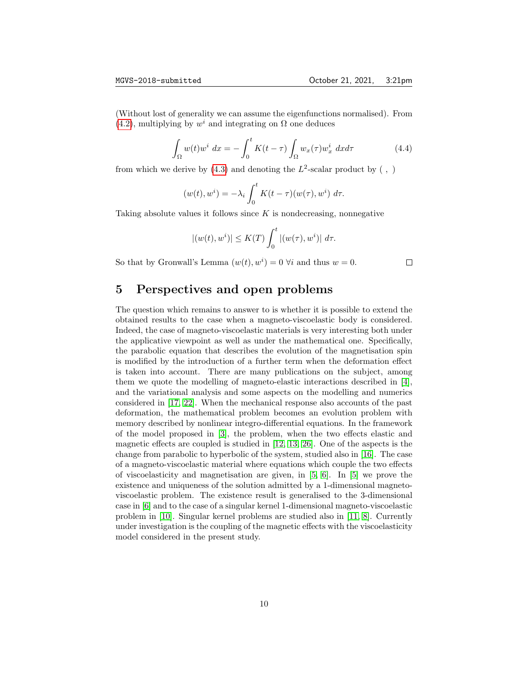(Without lost of generality we can assume the eigenfunctions normalised). From [\(4.2\)](#page-8-1), multiplying by  $w^i$  and integrating on  $\Omega$  one deduces

$$
\int_{\Omega} w(t)w^i dx = -\int_0^t K(t-\tau) \int_{\Omega} w_x(\tau)w^i_x dx d\tau \tag{4.4}
$$

from which we derive by  $(4.3)$  and denoting the  $L^2$ -scalar product by  $( , )$ 

$$
(w(t), wi) = -\lambda_i \int_0^t K(t - \tau)(w(\tau), wi) d\tau.
$$

Taking absolute values it follows since  $K$  is nondecreasing, nonnegative

$$
|(w(t),wi)| \leq K(T) \int_0^t |(w(\tau),wi)| d\tau.
$$

So that by Gronwall's Lemma  $(w(t), w^i) = 0$   $\forall i$  and thus  $w = 0$ .

 $\Box$ 

# 5 Perspectives and open problems

The question which remains to answer to is whether it is possible to extend the obtained results to the case when a magneto-viscoelastic body is considered. Indeed, the case of magneto-viscoelastic materials is very interesting both under the applicative viewpoint as well as under the mathematical one. Specifically, the parabolic equation that describes the evolution of the magnetisation spin is modified by the introduction of a further term when the deformation effect is taken into account. There are many publications on the subject, among them we quote the modelling of magneto-elastic interactions described in [\[4\]](#page-10-5), and the variational analysis and some aspects on the modelling and numerics considered in [\[17,](#page-11-6) [22\]](#page-11-7). When the mechanical response also accounts of the past deformation, the mathematical problem becomes an evolution problem with memory described by nonlinear integro-differential equations. In the framework of the model proposed in [\[3\]](#page-10-6), the problem, when the two effects elastic and magnetic effects are coupled is studied in [\[12,](#page-11-8) [13,](#page-11-9) [26\]](#page-12-5). One of the aspects is the change from parabolic to hyperbolic of the system, studied also in [\[16\]](#page-11-10). The case of a magneto-viscoelastic material where equations which couple the two effects of viscoelasticity and magnetisation are given, in [\[5,](#page-10-7) [6\]](#page-10-8). In [\[5\]](#page-10-7) we prove the existence and uniqueness of the solution admitted by a 1-dimensional magnetoviscoelastic problem. The existence result is generalised to the 3-dimensional case in [\[6\]](#page-10-8) and to the case of a singular kernel 1-dimensional magneto-viscoelastic problem in [\[10\]](#page-10-9). Singular kernel problems are studied also in [\[11,](#page-11-11) [8\]](#page-10-4). Currently under investigation is the coupling of the magnetic effects with the viscoelasticity model considered in the present study.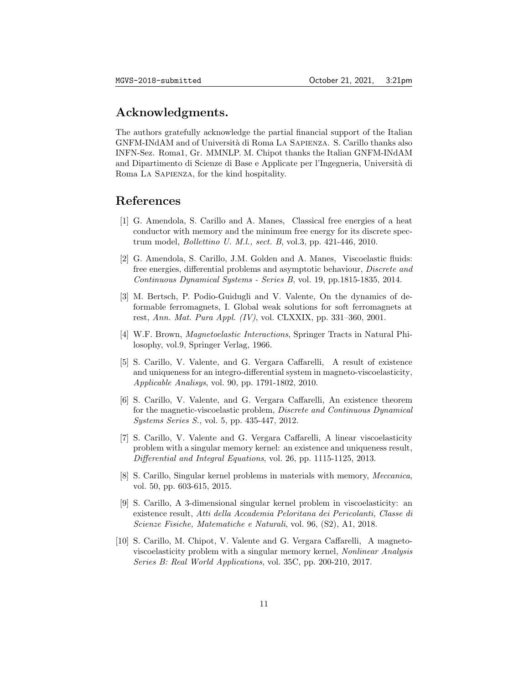### Acknowledgments.

The authors gratefully acknowledge the partial financial support of the Italian GNFM-INdAM and of Università di Roma La Sapienza. S. Carillo thanks also INFN-Sez. Roma1, Gr. MMNLP. M. Chipot thanks the Italian GNFM-INdAM and Dipartimento di Scienze di Base e Applicate per l'Ingegneria, Universit`a di Roma La Sapienza, for the kind hospitality.

### References

- <span id="page-10-0"></span>[1] G. Amendola, S. Carillo and A. Manes, Classical free energies of a heat conductor with memory and the minimum free energy for its discrete spectrum model, Bollettino U. M.l., sect. B, vol.3, pp. 421-446, 2010.
- <span id="page-10-1"></span>[2] G. Amendola, S. Carillo, J.M. Golden and A. Manes, Viscoelastic fluids: free energies, differential problems and asymptotic behaviour, Discrete and Continuous Dynamical Systems - Series B, vol. 19, pp.1815-1835, 2014.
- <span id="page-10-6"></span>[3] M. Bertsch, P. Podio-Guidugli and V. Valente, On the dynamics of deformable ferromagnets, I. Global weak solutions for soft ferromagnets at rest, Ann. Mat. Pura Appl. (IV), vol. CLXXIX, pp. 331–360, 2001.
- <span id="page-10-5"></span>[4] W.F. Brown, Magnetoelastic Interactions, Springer Tracts in Natural Philosophy, vol.9, Springer Verlag, 1966.
- <span id="page-10-7"></span>[5] S. Carillo, V. Valente, and G. Vergara Caffarelli, A result of existence and uniqueness for an integro-differential system in magneto-viscoelasticity, Applicable Analisys, vol. 90, pp. 1791-1802, 2010.
- <span id="page-10-8"></span>[6] S. Carillo, V. Valente, and G. Vergara Caffarelli, An existence theorem for the magnetic-viscoelastic problem, Discrete and Continuous Dynamical Systems Series S., vol. 5, pp. 435-447, 2012.
- <span id="page-10-2"></span>[7] S. Carillo, V. Valente and G. Vergara Caffarelli, A linear viscoelasticity problem with a singular memory kernel: an existence and uniqueness result, Differential and Integral Equations, vol. 26, pp. 1115-1125, 2013.
- <span id="page-10-4"></span>[8] S. Carillo, Singular kernel problems in materials with memory, Meccanica, vol. 50, pp. 603-615, 2015.
- <span id="page-10-3"></span>[9] S. Carillo, A 3-dimensional singular kernel problem in viscoelasticity: an existence result, Atti della Accademia Peloritana dei Pericolanti, Classe di Scienze Fisiche, Matematiche e Naturali, vol. 96, (S2), A1, 2018.
- <span id="page-10-9"></span>[10] S. Carillo, M. Chipot, V. Valente and G. Vergara Caffarelli, A magnetoviscoelasticity problem with a singular memory kernel, Nonlinear Analysis Series B: Real World Applications, vol. 35C, pp. 200-210, 2017.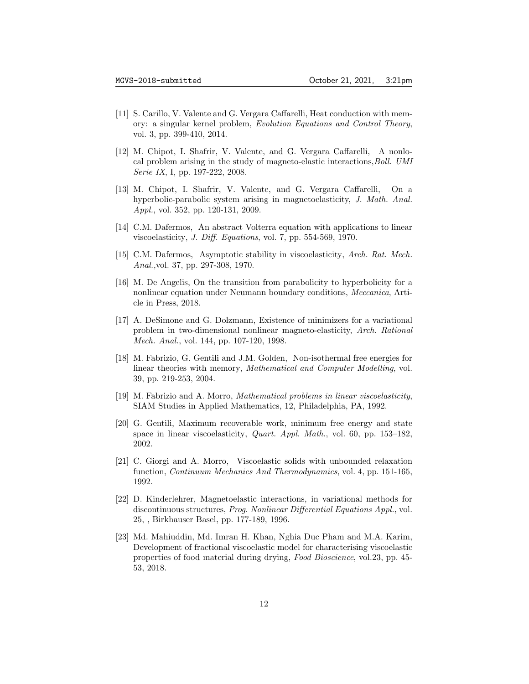- <span id="page-11-11"></span>[11] S. Carillo, V. Valente and G. Vergara Caffarelli, Heat conduction with memory: a singular kernel problem, Evolution Equations and Control Theory, vol. 3, pp. 399-410, 2014.
- <span id="page-11-8"></span>[12] M. Chipot, I. Shafrir, V. Valente, and G. Vergara Caffarelli, A nonlocal problem arising in the study of magneto-elastic interactions, Boll. UMI Serie IX, I, pp. 197-222, 2008.
- <span id="page-11-9"></span>[13] M. Chipot, I. Shafrir, V. Valente, and G. Vergara Caffarelli, On a hyperbolic-parabolic system arising in magnetoelasticity, J. Math. Anal. Appl., vol. 352, pp. 120-131, 2009.
- <span id="page-11-3"></span>[14] C.M. Dafermos, An abstract Volterra equation with applications to linear viscoelasticity, J. Diff. Equations, vol. 7, pp. 554-569, 1970.
- <span id="page-11-4"></span>[15] C.M. Dafermos, Asymptotic stability in viscoelasticity, Arch. Rat. Mech. Anal.,vol. 37, pp. 297-308, 1970.
- <span id="page-11-10"></span>[16] M. De Angelis, On the transition from parabolicity to hyperbolicity for a nonlinear equation under Neumann boundary conditions, Meccanica, Article in Press, 2018.
- <span id="page-11-6"></span>[17] A. DeSimone and G. Dolzmann, Existence of minimizers for a variational problem in two-dimensional nonlinear magneto-elasticity, Arch. Rational Mech. Anal., vol. 144, pp. 107-120, 1998.
- <span id="page-11-1"></span>[18] M. Fabrizio, G. Gentili and J.M. Golden, Non-isothermal free energies for linear theories with memory, Mathematical and Computer Modelling, vol. 39, pp. 219-253, 2004.
- <span id="page-11-0"></span>[19] M. Fabrizio and A. Morro, Mathematical problems in linear viscoelasticity, SIAM Studies in Applied Mathematics, 12, Philadelphia, PA, 1992.
- <span id="page-11-5"></span>[20] G. Gentili, Maximum recoverable work, minimum free energy and state space in linear viscoelasticity, Quart. Appl. Math., vol. 60, pp. 153–182, 2002.
- [21] C. Giorgi and A. Morro, Viscoelastic solids with unbounded relaxation function, Continuum Mechanics And Thermodynamics, vol. 4, pp. 151-165, 1992.
- <span id="page-11-7"></span>[22] D. Kinderlehrer, Magnetoelastic interactions, in variational methods for discontinuous structures, Prog. Nonlinear Differential Equations Appl., vol. 25, , Birkhauser Basel, pp. 177-189, 1996.
- <span id="page-11-2"></span>[23] Md. Mahiuddin, Md. Imran H. Khan, Nghia Duc Pham and M.A. Karim, Development of fractional viscoelastic model for characterising viscoelastic properties of food material during drying, Food Bioscience, vol.23, pp. 45- 53, 2018.